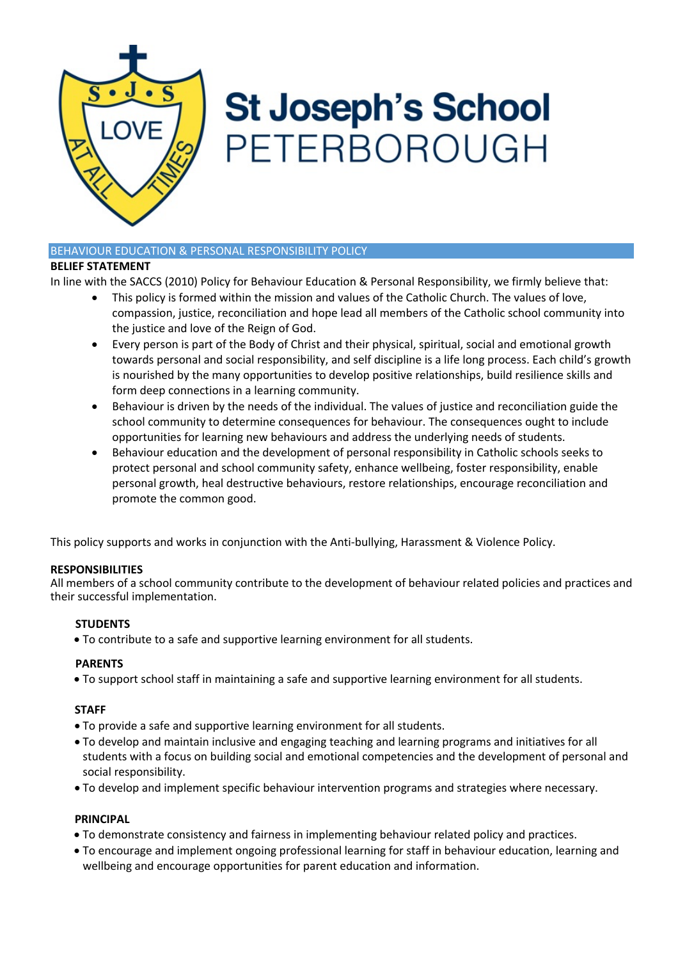

# **St Joseph's School** PETERBOROUGH

# BEHAVIOUR EDUCATION & PERSONAL RESPONSIBILITY POLICY

#### **BELIEF STATEMENT**

In line with the SACCS (2010) Policy for Behaviour Education & Personal Responsibility, we firmly believe that:

- This policy is formed within the mission and values of the Catholic Church. The values of love, compassion, justice, reconciliation and hope lead all members of the Catholic school community into the justice and love of the Reign of God.
- Every person is part of the Body of Christ and their physical, spiritual, social and emotional growth towards personal and social responsibility, and self discipline is a life long process. Each child's growth is nourished by the many opportunities to develop positive relationships, build resilience skills and form deep connections in a learning community.
- Behaviour is driven by the needs of the individual. The values of justice and reconciliation guide the school community to determine consequences for behaviour. The consequences ought to include opportunities for learning new behaviours and address the underlying needs of students.
- Behaviour education and the development of personal responsibility in Catholic schools seeks to protect personal and school community safety, enhance wellbeing, foster responsibility, enable personal growth, heal destructive behaviours, restore relationships, encourage reconciliation and promote the common good.

This policy supports and works in conjunction with the Anti-bullying, Harassment & Violence Policy.

# **RESPONSIBILITIES**

All members of a school community contribute to the development of behaviour related policies and practices and their successful implementation.

# **STUDENTS**

• To contribute to a safe and supportive learning environment for all students.

# **PARENTS**

• To support school staff in maintaining a safe and supportive learning environment for all students.

# **STAFF**

- To provide a safe and supportive learning environment for all students.
- To develop and maintain inclusive and engaging teaching and learning programs and initiatives for all students with a focus on building social and emotional competencies and the development of personal and social responsibility.
- To develop and implement specific behaviour intervention programs and strategies where necessary.

# **PRINCIPAL**

- To demonstrate consistency and fairness in implementing behaviour related policy and practices.
- To encourage and implement ongoing professional learning for staff in behaviour education, learning and wellbeing and encourage opportunities for parent education and information.